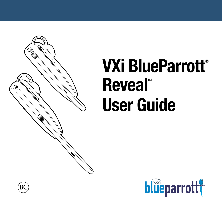

# **VXi BlueParrott**® **Reveal™ User Guide**



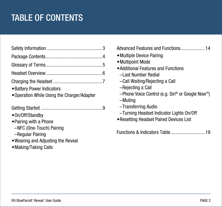### TABLE OF CONTENTS

| • Battery Power Indicators<br>• Operation While Using the Charger/Adapter                                                       |  |
|---------------------------------------------------------------------------------------------------------------------------------|--|
| •On/Off/Standby<br>• Pairing with a Phone<br>-NFC (One-Touch) Pairing<br>-Regular Pairing<br>• Wearing and Adjusting the Reveal |  |
| • Making/Taking Calls                                                                                                           |  |

Advanced Features and Functions....................[14](#page-13-0)

- •Multiple Device Pairing
- •Multipoint Mode
- •Additional Features and Functions
	- –Last Number Redial
	- –Call Waiting/Rejecting a Call
	- –Rejecting a Call
	- –Phone Voice Control (e.g. Siri® or Google NowTM)
	- –Muting
	- –Transferring Audio
	- –Turning Headset Indicator Lights On/Off
- •Resetting Headset Paired Devices List

Functions & Indicators Table............................[19](#page-18-0)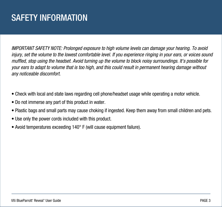### <span id="page-2-0"></span>SAFETY INFORMATION

*IMPORTANT SAFETY NOTE: Prolonged exposure to high volume levels can damage your hearing. To avoid injury, set the volume to the lowest comfortable level. If you experience ringing in your ears, or voices sound muffled, stop using the headset. Avoid turning up the volume to block noisy surroundings. It's possible for your ears to adapt to volume that is too high, and this could result in permanent hearing damage without any noticeable discomfort.*

- Check with local and state laws regarding cell phone/headset usage while operating a motor vehicle.
- Do not immerse any part of this product in water.
- Plastic bags and small parts may cause choking if ingested. Keep them away from small children and pets.
- Use only the power cords included with this product.
- Avoid temperatures exceeding 140° F (will cause equipment failure).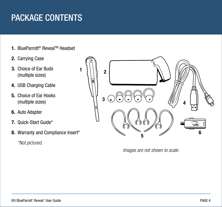### <span id="page-3-0"></span>PACKAGE CONTENTS

- **1.** BlueParrott<sup>®</sup> Reveal™ Headset
- **2.** Carrying Case
- **3.** Choice of Ear Buds (multiple sizes)
- **4.** USB Charging Cable
- **5.** Choice of Ear Hooks (multiple sizes)
- **6.** Auto Adapter
- **7.** Quick-Start Guide\*
- **8.** Warranty and Compliance Insert\*

 *\*Not pictured.*



*Images are not shown to scale.*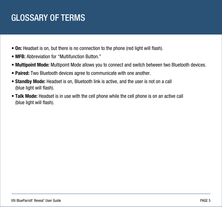### <span id="page-4-0"></span>GLOSSARY OF TERMS

- **On:** Headset is on, but there is no connection to the phone (red light will flash).
- **MFB:** Abbreviation for "Multifunction Button."
- **Multipoint Mode:** Multipoint Mode allows you to connect and switch between two Bluetooth devices.
- **Paired:** Two Bluetooth devices agree to communicate with one another.
- **Standby Mode:** Headset is on, Bluetooth link is active, and the user is not on a call (blue light will flash).
- **Talk Mode:** Headset is in use with the cell phone while the cell phone is on an active call (blue light will flash).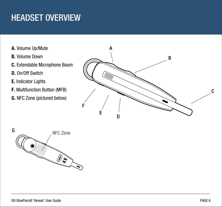### <span id="page-5-0"></span>HEADSET OVERVIEW

- **A.** Volume Up/Mute
- **B.** Volume Down
- **C.** Extendable Microphone Boom
- **D.** On/Off Switch
- **E.** Indicator Lights
- **F.** Multifunction Button (MFB)
- **G.** NFC Zone (pictured below)



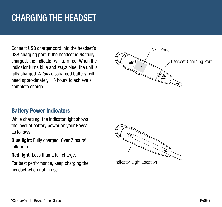### <span id="page-6-0"></span>CHARGING THE HEADSET

Connect USB charger cord into the headset's USB charging port. If the headset is *not* fully charged, the indicator will turn red. When the indicator turns blue and *stays* blue, the unit is fully charged. A *fully* discharged battery will need approximately 1.5 hours to achieve a complete charge.



#### **Battery Power Indicators**

While charging, the indicator light shows the level of battery power on your Reveal as follows:

**Blue light:** Fully charged. Over 7 hours' talk time.

**Red light:** Less than a full charge.

For best performance, keep charging the headset when not in use.

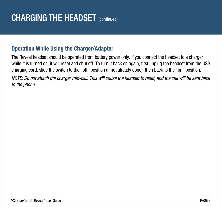### **Operation While Using the Charger/Adapter**

The Reveal headset should be operated from battery power only. If you connect the headset to a charger while it is turned on, it will reset and shut off. To turn it back on again, first unplug the headset from the USB charging cord, slide the switch to the "off" position (if not already done), then back to the "on" position.

*NOTE: Do not attach the charger mid-call. This will cause the headset to reset, and the call will be sent back to the phone.*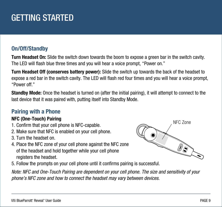## <span id="page-8-0"></span>GETTING STARTED

### **On/Off/Standby**

**Turn Headset On:** Slide the switch down towards the boom to expose a green bar in the switch cavity. The LED will flash blue three times and you will hear a voice prompt, "Power on."

**Turn Headset Off (conserves battery power):** Slide the switch up towards the back of the headset to expose a red bar in the switch cavity. The LED will flash red four times and you will hear a voice prompt, "Power off."

**Standby Mode:** Once the headset is turned on (after the initial pairing), it will attempt to connect to the last device that it was paired with, putting itself into Standby Mode.

### **Pairing with a Phone**

#### **NFC (One-Touch) Pairing**

- 1. Confirm that your cell phone is NFC-capable.
- 2. Make sure that NFC is enabled on your cell phone.
- 3. Turn the headset on.
- 4. Place the NFC zone of your cell phone against the NFC zone of the headset and hold together while your cell phone registers the headset.



5. Follow the prompts on your cell phone until it confirms pairing is successful.

*Note: NFC and One-Touch Pairing are dependent on your cell phone. The size and sensitivity of your phone's NFC zone and how to connect the headset may vary between devices.*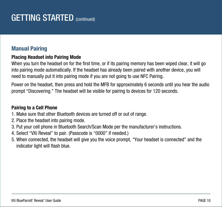### **Manual Pairing**

#### **Placing Headset into Pairing Mode**

When you turn the headset on for the first time, or if its pairing memory has been wiped clear, it will go into pairing mode automatically. If the headset has already been paired with another device, you will need to manually put it into pairing mode if you are not going to use NFC Pairing.

Power on the headset, then press and hold the MFB for approximately 6 seconds until you hear the audio prompt "Discovering." The headset will be visible for pairing to devices for 120 seconds.

#### **Pairing to a Cell Phone**

- 1. Make sure that other Bluetooth devices are turned off or out of range.
- 2. Place the headset into pairing mode.
- 3. Put your cell phone in Bluetooth Search/Scan Mode per the manufacturer's instructions.
- 4. Select "VXi Reveal" to pair. (Passcode is "0000" if needed.)
- 5. When connected, the headset will give you the voice prompt, "Your headset is connected" and the indicator light will flash blue.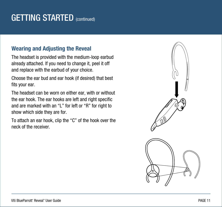### **Wearing and Adjusting the Reveal**

The headset is provided with the medium-loop earbud already attached. If you need to change it, peel it off and replace with the earbud of your choice.

Choose the ear bud and ear hook (if desired) that best fits your ear.

The headset can be worn on either ear, with or without the ear hook. The ear hooks are left and right specific and are marked with an "L" for left or "R" for right to show which side they are for.

To attach an ear hook, clip the "C" of the hook over the neck of the receiver.

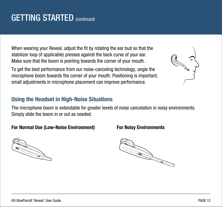When wearing your Reveal, adjust the fit by rotating the ear bud so that the stabilizer loop (if applicable) presses against the back curve of your ear. Make sure that the boom is pointing towards the corner of your mouth.

To get the best performance from our noise-canceling technology, angle the microphone boom towards the corner of your mouth. Positioning is important; small adjustments in microphone placement can improve performance.

### **Using the Headset in High-Noise Situations**

The microphone boom is extendable for greater levels of noise cancelation in noisy environments. Simply slide the boom in or out as needed.

#### **For Normal Use (Low-Noise Environment) For Noisy Environments**





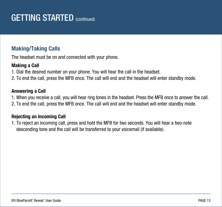### **Making/Taking Calls**

The headset must be on and connected with your phone.

#### **Making a Call**

- 1. Dial the desired number on your phone. You will hear the call in the headset.
- 2. To end the call, press the MFB once. The call will end and the headset will enter standby mode.

#### **Answering a Call**

- 1. When you receive a call, you will hear ring tones in the headset. Press the MFB once to answer the call.
- 2. To end the call, press the MFB once. The call will end and the headset will enter standby mode.

#### **Rejecting an Incoming Call**

1. To reject an incoming call, press and hold the MFB for two seconds. You will hear a two-note descending tone and the call will be transferred to your voicemail (if available).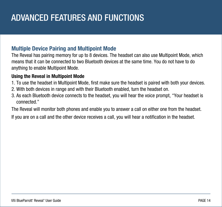## <span id="page-13-0"></span>ADVANCED FEATURES AND FUNCTIONS

#### **Multiple Device Pairing and Multipoint Mode**

The Reveal has pairing memory for up to 8 devices. The headset can also use Multipoint Mode, which means that it can be connected to two Bluetooth devices at the same time. You do not have to do anything to enable Multipoint Mode.

#### **Using the Reveal in Multipoint Mode**

- 1. To use the headset in Multipoint Mode, first make sure the headset is paired with both your devices.
- 2. With both devices in range and with their Bluetooth enabled, turn the headset on.
- 3. As each Bluetooth device connects to the headset, you will hear the voice prompt, "Your headset is connected."

The Reveal will monitor both phones and enable you to answer a call on either one from the headset.

If you are on a call and the other device receives a call, you will hear a notification in the headset.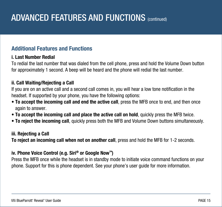### **Additional Features and Functions**

#### **i. Last Number Redial**

To redial the last number that was dialed from the cell phone, press and hold the Volume Down button for approximately 1 second. A beep will be heard and the phone will redial the last number.

#### **ii. Call Waiting/Rejecting a Call**

If you are on an active call and a second call comes in, you will hear a low tone notification in the headset. If supported by your phone, you have the following options:

- **To accept the incoming call and end the active call**, press the MFB once to end, and then once again to answer.
- **To accept the incoming call and place the active call on hold**, quickly press the MFB twice.
- **To reject the incoming call**, quickly press both the MFB and Volume Down buttons simultaneously.

#### **iii. Rejecting a Call**

**To reject an incoming call when not on another call**, press and hold the MFB for 1-2 seconds.

#### **iv. Phone Voice Control (e.g. Siri® or Google Now™)**

Press the MFB once while the headset is in standby mode to initiate voice command functions on your phone. Support for this is phone dependent. See your phone's user guide for more information.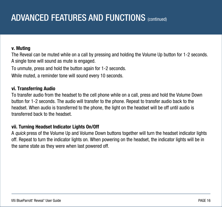### ADVANCED FEATURES AND FUNCTIONS (continued)

#### **v. Muting**

The Reveal can be muted while on a call by pressing and holding the Volume Up button for 1-2 seconds. A single tone will sound as mute is engaged.

To unmute, press and hold the button again for 1-2 seconds.

While muted, a reminder tone will sound every 10 seconds.

#### **vi. Transferring Audio**

To transfer audio from the headset to the cell phone while on a call, press and hold the Volume Down button for 1-2 seconds. The audio will transfer to the phone. Repeat to transfer audio back to the headset. When audio is transferred to the phone, the light on the headset will be off until audio is transferred back to the headset.

#### **vii. Turning Headset Indicator Lights On/Off**

A *quick* press of the Volume Up and Volume Down buttons together will turn the headset indicator lights off. Repeat to turn the indicator lights on. When powering on the headset, the indicator lights will be in the same state as they were when last powered off.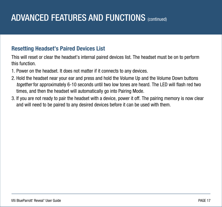## ADVANCED FEATURES AND FUNCTIONS (continued)

### **Resetting Headset's Paired Devices List**

This will reset or clear the headset's internal paired devices list. The headset must be on to perform this function.

- 1. Power on the headset. It does not matter if it connects to any devices.
- 2. Hold the headset near your ear and press and hold the Volume Up and the Volume Down buttons *together* for approximately 6-10 seconds until two low tones are heard. The LED will flash red two times, and then the headset will automatically go into Pairing Mode.
- 3. If you are not ready to pair the headset with a device, power it off. The pairing memory is now clear and will need to be paired to any desired devices before it can be used with them.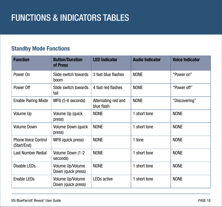## FUNCTIONS & INDICATORS TABLES

### **Standby Mode Functions**

| <b>Function</b>                           | <b>Button/Duration</b><br>of Press     | <b>LED Indicator</b>              | <b>Audio Indicator</b> | <b>Voice Indicator</b> |
|-------------------------------------------|----------------------------------------|-----------------------------------|------------------------|------------------------|
| Power On                                  | Slide switch towards<br>boom           | 3 fast blue flashes               | <b>NONE</b>            | "Power on"             |
| Power Off                                 | Slide switch towards<br>tail           | 4 fast red flashes                | <b>NONE</b>            | "Power off"            |
| <b>Enable Pairing Mode</b>                | MFB (5-6 seconds)                      | Alternating red and<br>blue flash | <b>NONE</b>            | "Discovering"          |
| Volume Up                                 | Volume Up (quick<br>press)             | <b>NONE</b>                       | 1 short tone           | <b>NONE</b>            |
| <b>Volume Down</b>                        | Volume Down (quick<br>press)           | <b>NONE</b>                       | 1 short tone           | <b>NONE</b>            |
| <b>Phone Voice Control</b><br>(Start/End) | MFB (quick press)                      | <b>NONE</b>                       | 1 tone                 | <b>NONE</b>            |
| <b>Last Number Redial</b>                 | Volume Down (1-2<br>seconds)           | <b>NONE</b>                       | 1 short tone           | <b>NONE</b>            |
| <b>Disable LEDs</b>                       | Volume Up/Volume<br>Down (quick press) | <b>NONE</b>                       | 1 short tone           | <b>NONE</b>            |
| Enable LEDs                               | Volume Up/Volume<br>Down (quick press) | LEDs active                       | 1 short tone           | <b>NONE</b>            |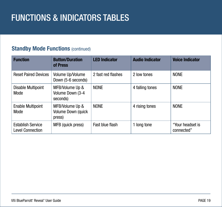## <span id="page-18-0"></span>FUNCTIONS & INDICATORS TABLES

### **Standby Mode Functions (continued)**

| <b>Function</b>                                     | <b>Button/Duration</b><br>of Press              | <b>LED Indicator</b> | <b>Audio Indicator</b> | <b>Voice Indicator</b>         |
|-----------------------------------------------------|-------------------------------------------------|----------------------|------------------------|--------------------------------|
| <b>Reset Paired Devices</b>                         | Volume Up/Volume<br>Down (5-6 seconds)          | 2 fast red flashes   | 2 low tones            | <b>NONE</b>                    |
| <b>Disable Multipoint</b><br>Mode                   | MFB/Volume Up &<br>Volume Down (3-4<br>seconds) | <b>NONE</b>          | 4 falling tones        | <b>NONE</b>                    |
| <b>Enable Multipoint</b><br>Mode                    | MFB/Volume Up &<br>Volume Down (quick<br>press) | <b>NONE</b>          | 4 rising tones         | <b>NONE</b>                    |
| <b>Establish Service</b><br><b>Level Connection</b> | MFB (quick press)                               | Fast blue flash      | 1 long tone            | "Your headset is<br>connected" |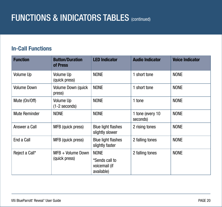### FUNCTIONS & INDICATORS TABLES (COntinued)

### **In-Call Functions**

| <b>Function</b>      | <b>Button/Duration</b><br>of Press   | <b>LED Indicator</b>                                         | <b>Audio Indicator</b>       | <b>Voice Indicator</b> |
|----------------------|--------------------------------------|--------------------------------------------------------------|------------------------------|------------------------|
| Volume Up            | Volume Up<br>(quick press)           | <b>NONE</b>                                                  | 1 short tone                 | <b>NONE</b>            |
| <b>Volume Down</b>   | Volume Down (quick<br>press)         | <b>NONE</b>                                                  | 1 short tone                 | <b>NONE</b>            |
| Mute (On/Off)        | Volume Up<br>$(1-2$ seconds)         | <b>NONE</b>                                                  | 1 tone                       | <b>NONE</b>            |
| <b>Mute Reminder</b> | <b>NONE</b>                          | <b>NONE</b>                                                  | 1 tone (every 10<br>seconds) | <b>NONE</b>            |
| Answer a Call        | MFB (quick press)                    | <b>Blue light flashes</b><br>slightly slower                 | 2 rising tones               | <b>NONE</b>            |
| End a Call           | MFB (quick press)                    | <b>Blue light flashes</b><br>slightly faster                 | 2 falling tones              | <b>NONE</b>            |
| Reject a Call*       | $MFB + Volume Down$<br>(quick press) | <b>NONE</b><br>*Sends call to<br>voicemail (if<br>available) | 2 falling tones              | <b>NONE</b>            |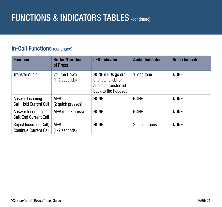### **FUNCTIONS & INDICATORS TABLES** (continued)

#### **In-Call Functions (continued)**

| <b>Function</b>                                       | <b>Button/Duration</b><br>of Press    | <b>LED Indicator</b>                                                                     | <b>Audio Indicator</b> | <b>Voice Indicator</b> |
|-------------------------------------------------------|---------------------------------------|------------------------------------------------------------------------------------------|------------------------|------------------------|
| <b>Transfer Audio</b>                                 | <b>Volume Down</b><br>$(1-2$ seconds) | NONE (LEDs go out<br>until call ends, or<br>audio is transferred<br>back to the headset) | 1 long tone            | <b>NONE</b>            |
| Answer Incoming<br>Call, Hold Current Call            | <b>MFB</b><br>(2 quick presses)       | <b>NONE</b>                                                                              | <b>NONE</b>            | <b>NONE</b>            |
| Answer Incoming<br>Call, End Current Call             | MFB (quick press)                     | <b>NONE</b>                                                                              | <b>NONE</b>            | <b>NONE</b>            |
| Reject Incoming Call,<br><b>Continue Current Call</b> | <b>MFB</b><br>$(1-2$ seconds)         | <b>NONE</b>                                                                              | 2 falling tones        | <b>NONE</b>            |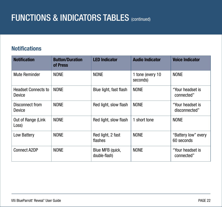### FUNCTIONS & INDICATORS TABLES (COntinued)

### **Notifications**

| <b>Notification</b>                  | <b>Button/Duration</b><br>of Press | <b>LED Indicator</b>              | <b>Audio Indicator</b>       | <b>Voice Indicator</b>            |
|--------------------------------------|------------------------------------|-----------------------------------|------------------------------|-----------------------------------|
| <b>Mute Reminder</b>                 | <b>NONE</b>                        | <b>NONE</b>                       | 1 tone (every 10<br>seconds) | <b>NONE</b>                       |
| <b>Headset Connects to</b><br>Device | <b>NONE</b>                        | Blue light, fast flash            | <b>NONE</b>                  | "Your headset is<br>connected"    |
| Disconnect from<br>Device            | <b>NONE</b>                        | Red light, slow flash             | <b>NONE</b>                  | "Your headset is<br>disconnected" |
| Out of Range (Link<br>Loss)          | <b>NONE</b>                        | Red light, slow flash             | 1 short tone                 | <b>NONE</b>                       |
| Low Battery                          | <b>NONE</b>                        | Red light, 2 fast<br>flashes      | <b>NONE</b>                  | "Battery low" every<br>60 seconds |
| <b>Connect A2DP</b>                  | <b>NONE</b>                        | Blue MFB (quick,<br>double-flash) | <b>NONE</b>                  | "Your headset is<br>connected"    |